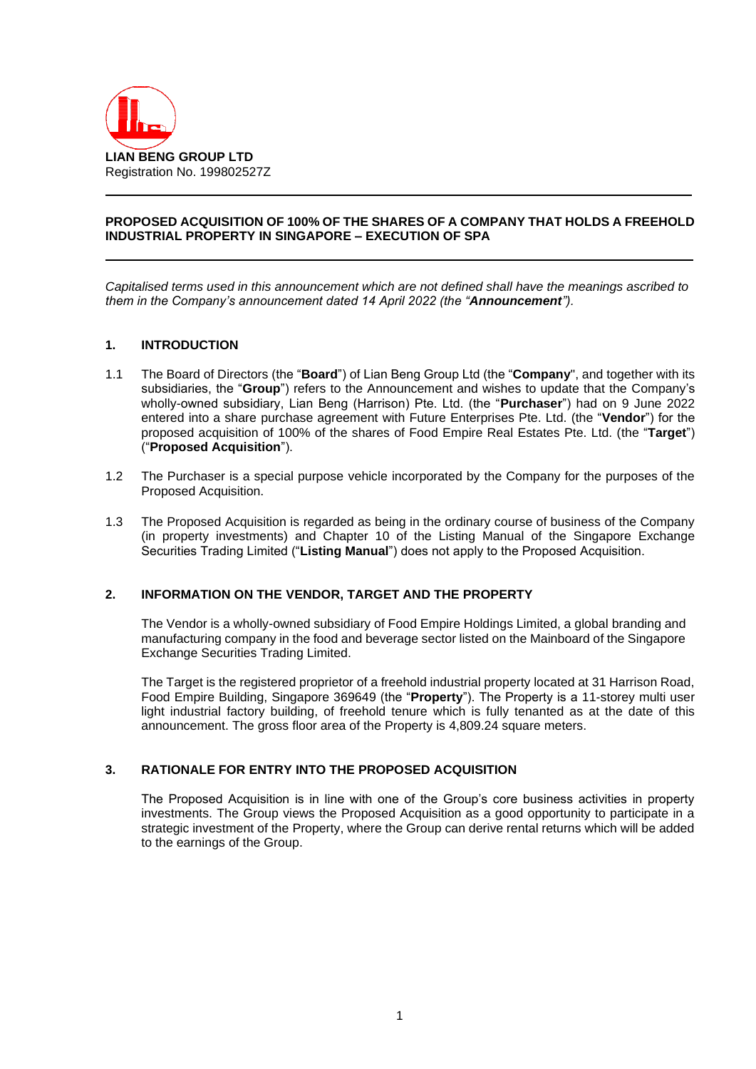

## **PROPOSED ACQUISITION OF 100% OF THE SHARES OF A COMPANY THAT HOLDS A FREEHOLD INDUSTRIAL PROPERTY IN SINGAPORE – EXECUTION OF SPA**

*Capitalised terms used in this announcement which are not defined shall have the meanings ascribed to them in the Company's announcement dated 14 April 2022 (the "Announcement").*

## **1. INTRODUCTION**

- 1.1 The Board of Directors (the "**Board**") of Lian Beng Group Ltd (the "**Company**", and together with its subsidiaries, the "**Group**") refers to the Announcement and wishes to update that the Company's wholly-owned subsidiary, Lian Beng (Harrison) Pte. Ltd. (the "**Purchaser**") had on 9 June 2022 entered into a share purchase agreement with Future Enterprises Pte. Ltd. (the "**Vendor**") for the proposed acquisition of 100% of the shares of Food Empire Real Estates Pte. Ltd. (the "**Target**") ("**Proposed Acquisition**").
- 1.2 The Purchaser is a special purpose vehicle incorporated by the Company for the purposes of the Proposed Acquisition.
- 1.3 The Proposed Acquisition is regarded as being in the ordinary course of business of the Company (in property investments) and Chapter 10 of the Listing Manual of the Singapore Exchange Securities Trading Limited ("**Listing Manual**") does not apply to the Proposed Acquisition.

### **2. INFORMATION ON THE VENDOR, TARGET AND THE PROPERTY**

The Vendor is a wholly-owned subsidiary of Food Empire Holdings Limited, a global branding and manufacturing company in the food and beverage sector listed on the Mainboard of the Singapore Exchange Securities Trading Limited.

The Target is the registered proprietor of a freehold industrial property located at 31 Harrison Road, Food Empire Building, Singapore 369649 (the "**Property**"). The Property is a 11-storey multi user light industrial factory building, of freehold tenure which is fully tenanted as at the date of this announcement. The gross floor area of the Property is 4,809.24 square meters.

# **3. RATIONALE FOR ENTRY INTO THE PROPOSED ACQUISITION**

The Proposed Acquisition is in line with one of the Group's core business activities in property investments. The Group views the Proposed Acquisition as a good opportunity to participate in a strategic investment of the Property, where the Group can derive rental returns which will be added to the earnings of the Group.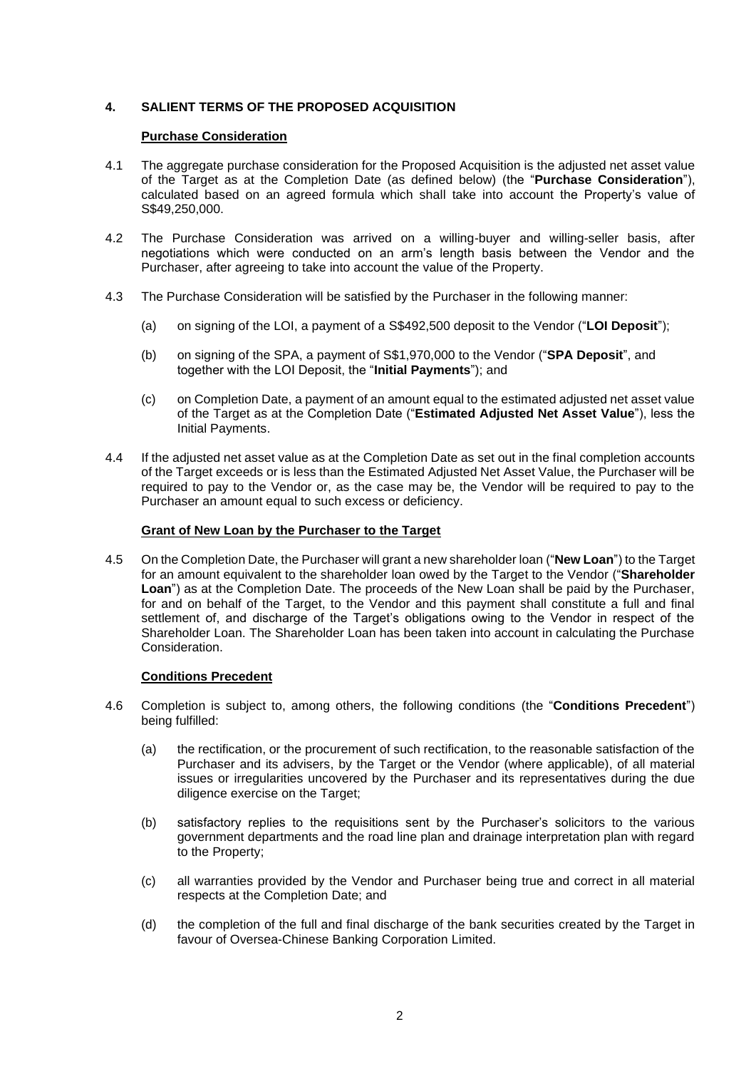# **4. SALIENT TERMS OF THE PROPOSED ACQUISITION**

## **Purchase Consideration**

- 4.1 The aggregate purchase consideration for the Proposed Acquisition is the adjusted net asset value of the Target as at the Completion Date (as defined below) (the "**Purchase Consideration**"), calculated based on an agreed formula which shall take into account the Property's value of S\$49,250,000.
- 4.2 The Purchase Consideration was arrived on a willing-buyer and willing-seller basis, after negotiations which were conducted on an arm's length basis between the Vendor and the Purchaser, after agreeing to take into account the value of the Property.
- 4.3 The Purchase Consideration will be satisfied by the Purchaser in the following manner:
	- (a) on signing of the LOI, a payment of a S\$492,500 deposit to the Vendor ("**LOI Deposit**");
	- (b) on signing of the SPA, a payment of S\$1,970,000 to the Vendor ("**SPA Deposit**", and together with the LOI Deposit, the "**Initial Payments**"); and
	- (c) on Completion Date, a payment of an amount equal to the estimated adjusted net asset value of the Target as at the Completion Date ("**Estimated Adjusted Net Asset Value**"), less the Initial Payments.
- 4.4 If the adjusted net asset value as at the Completion Date as set out in the final completion accounts of the Target exceeds or is less than the Estimated Adjusted Net Asset Value, the Purchaser will be required to pay to the Vendor or, as the case may be, the Vendor will be required to pay to the Purchaser an amount equal to such excess or deficiency.

### **Grant of New Loan by the Purchaser to the Target**

4.5 On the Completion Date, the Purchaser will grant a new shareholder loan ("**New Loan**") to the Target for an amount equivalent to the shareholder loan owed by the Target to the Vendor ("**Shareholder Loan**") as at the Completion Date. The proceeds of the New Loan shall be paid by the Purchaser, for and on behalf of the Target, to the Vendor and this payment shall constitute a full and final settlement of, and discharge of the Target's obligations owing to the Vendor in respect of the Shareholder Loan. The Shareholder Loan has been taken into account in calculating the Purchase Consideration.

#### **Conditions Precedent**

- 4.6 Completion is subject to, among others, the following conditions (the "**Conditions Precedent**") being fulfilled:
	- (a) the rectification, or the procurement of such rectification, to the reasonable satisfaction of the Purchaser and its advisers, by the Target or the Vendor (where applicable), of all material issues or irregularities uncovered by the Purchaser and its representatives during the due diligence exercise on the Target;
	- (b) satisfactory replies to the requisitions sent by the Purchaser's solicitors to the various government departments and the road line plan and drainage interpretation plan with regard to the Property;
	- (c) all warranties provided by the Vendor and Purchaser being true and correct in all material respects at the Completion Date; and
	- (d) the completion of the full and final discharge of the bank securities created by the Target in favour of Oversea-Chinese Banking Corporation Limited.